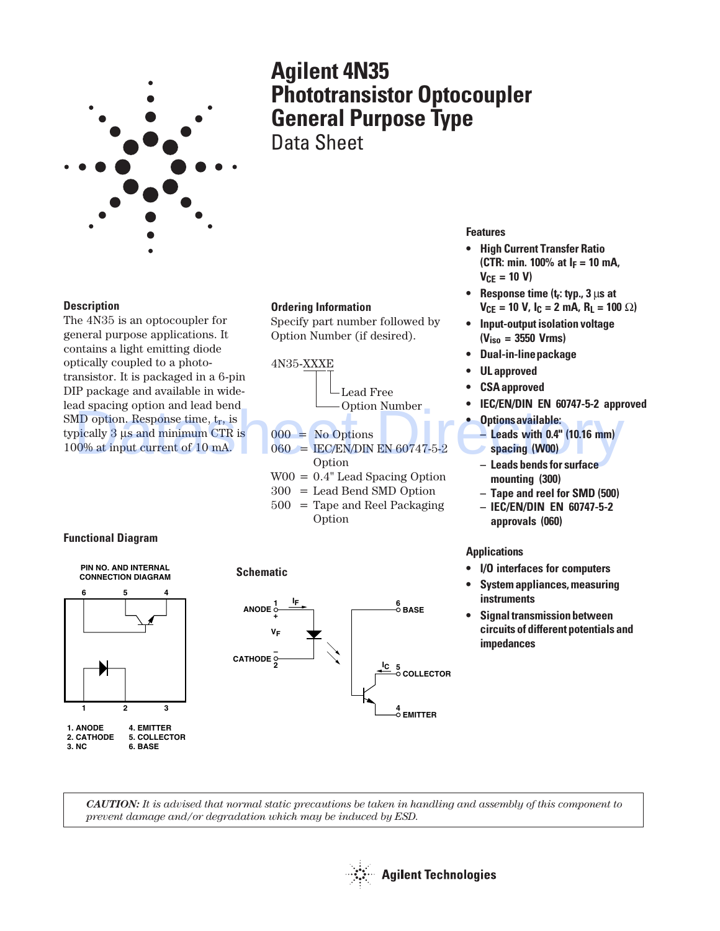

# **Agilent 4N35 Phototransistor Optocoupler General Purpose Type** Data Sheet

**Description**

The 4N35 is an optocoupler for general purpose applications. It contains a light emitting diode optically coupled to a phototransistor. It is packaged in a 6-pin DIP package and available in widelead spacing option and lead bend SMD option. Response time,  $t_r$ , is typically 3 µs and minimum CTR is 100% at input current of 10 mA. ad spacing option and lead bend<br>
MD option. Response time,  $t_r$ , is<br>
pically 3 us and minimum CTR is<br>  $000 = No Options$ <br>  $000 = NO Options$ <br>  $000 = ECE/EN/DN EN 60747-5-2$ <br>  $000 = ECE/EN/DN EN 60747-5-2$ <br>  $000 = 0.000$ <br>  $000 = 0.000$ <br>  $000 = 0.000$ <br>  $000 = 0$ 

#### **Ordering Information**

Specify part number followed by Option Number (if desired).



- $060 =$  IEC/EN/DIN EN 60747-5-2 **Option**
- W00 = 0.4" Lead Spacing Option
- 300 = Lead Bend SMD Option
- 500 = Tape and Reel Packaging Option

## **Features**

- **High Current Transfer Ratio (CTR: min. 100% at IF = 10 mA, VCE = 10 V)**
- **Response time (tr: typ., 3** µ**s at**  $V_{CF}$  = 10 V,  $I_C$  = 2 mA,  $R_1$  = 100  $\Omega$ )
- **Input-output isolation voltage (Viso = 3550 Vrms)**
- **Dual-in-line package**
- **UL approved**
- **CSA approved**
- **IEC/EN/DIN EN 60747-5-2 approved**
- **Options available:**
- **Leads with 0.4" (10.16 mm) spacing (W00)**
- **Leads bends for surface mounting (300)**
- **Tape and reel for SMD (500)**
- **IEC/EN/DIN EN 60747-5-2 approvals (060)**

### **Applications**

- **I/O interfaces for computers**
- **System appliances, measuring instruments**
- **Signal transmission between circuits of different potentials and impedances**

### **Functional Diagram**





**Schematic**

*CAUTION: It is advised that normal static precautions be taken in handling and assembly of this component to prevent damage and/or degradation which may be induced by ESD.*

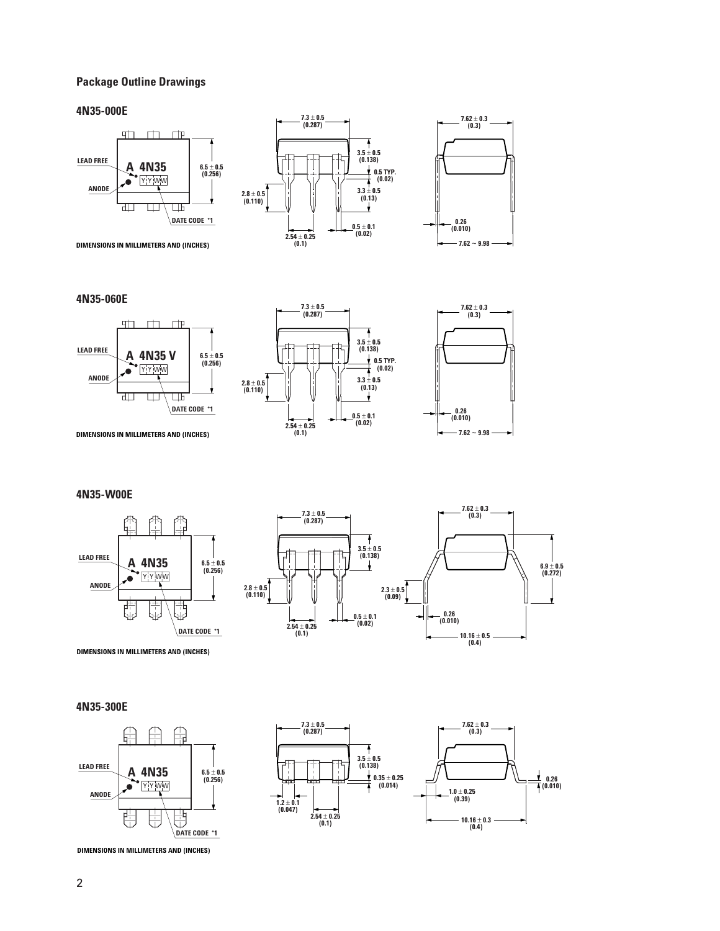#### **Package Outline Drawings**

#### **4N35-000E**







#### **4N35-060E**







**DIMENSIONS IN MILLIMETERS AND (INCHES)**

#### **4N35-W00E**





**DIMENSIONS IN MILLIMETERS AND (INCHES)**

#### **4N35-300E**





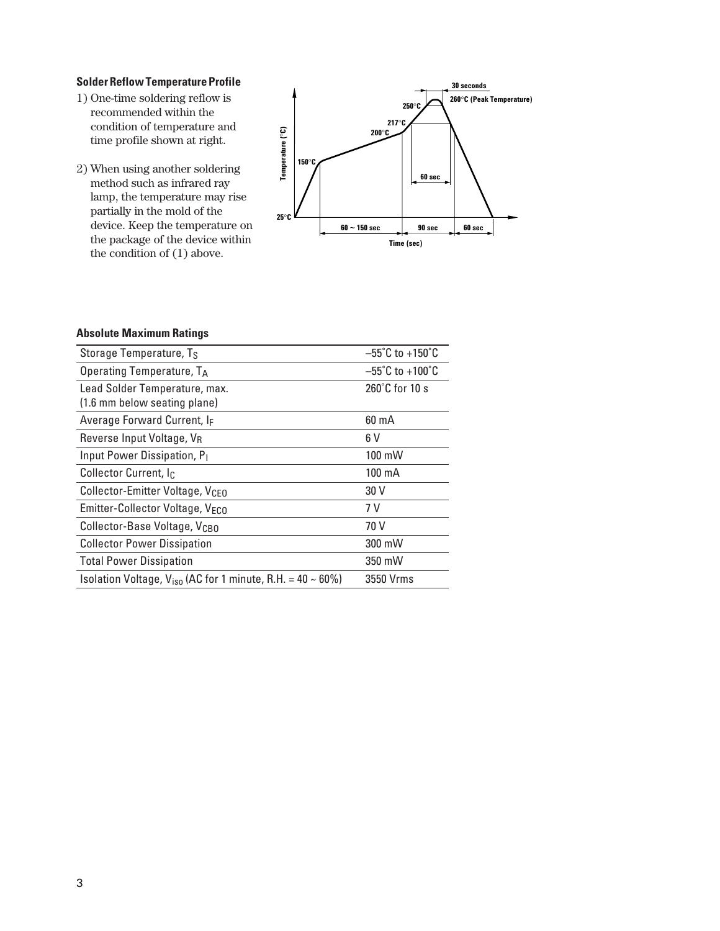#### **Solder Reflow Temperature Profile**

- 1) One-time soldering reflow is recommended within the condition of temperature and time profile shown at right.
- 2) When using another soldering method such as infrared ray lamp, the temperature may rise partially in the mold of the device. Keep the temperature on the package of the device within the condition of (1) above.



#### **Absolute Maximum Ratings**

| Storage Temperature, Ts                                         | $-55^{\circ}$ C to +150 $^{\circ}$ C |
|-----------------------------------------------------------------|--------------------------------------|
| Operating Temperature, TA                                       | $-55^{\circ}$ C to +100 $^{\circ}$ C |
| Lead Solder Temperature, max.                                   | 260°C for 10 s                       |
| (1.6 mm below seating plane)                                    |                                      |
| Average Forward Current, IF                                     | $60 \text{ mA}$                      |
| Reverse Input Voltage, VR                                       | 6 V                                  |
| Input Power Dissipation, P <sub>1</sub>                         | 100 mW                               |
| Collector Current, I <sub>C</sub>                               | 100 mA                               |
| Collector-Emitter Voltage, V <sub>CEO</sub>                     | 30 V                                 |
| Emitter-Collector Voltage, VECO                                 | 7 V                                  |
| Collector-Base Voltage, V <sub>CBO</sub>                        | 70 V                                 |
| <b>Collector Power Dissipation</b>                              | 300 mW                               |
| <b>Total Power Dissipation</b>                                  | 350 mW                               |
| Isolation Voltage, $V_{iso}$ (AC for 1 minute, R.H. = 40 ~ 60%) | 3550 Vrms                            |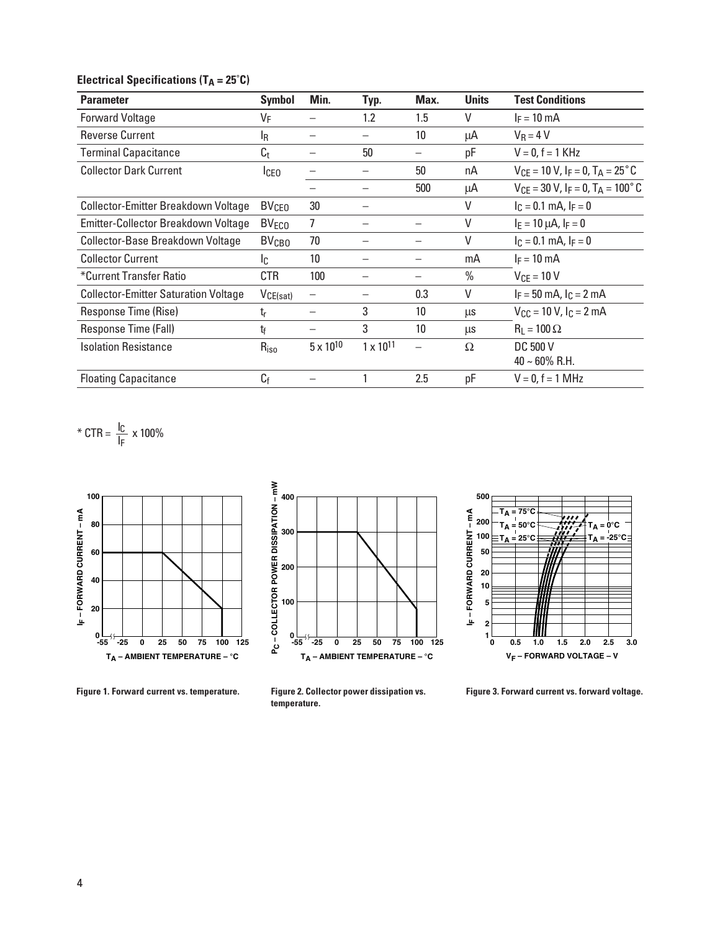# **Electrical Specifications (TA = 25°C)**

| <b>Parameter</b>                            | Symbol                  | Min.               | Typ.               | Max.            | <b>Units</b>  | <b>Test Conditions</b>                                         |
|---------------------------------------------|-------------------------|--------------------|--------------------|-----------------|---------------|----------------------------------------------------------------|
| <b>Forward Voltage</b>                      | VF                      |                    | 1.2                | 1.5             | V             | $I_F = 10$ mA                                                  |
| <b>Reverse Current</b>                      | ΙŖ                      |                    |                    | 10              | μA            | $V_R = 4 V$                                                    |
| <b>Terminal Capacitance</b>                 | $C_{t}$                 |                    | 50                 |                 | pF            | $V = 0, f = 1$ KHz                                             |
| <b>Collector Dark Current</b>               | <b>I</b> CEO            |                    |                    | 50              | nA            | $V_{CF}$ = 10 V, I <sub>F</sub> = 0, T <sub>A</sub> = 25 °C    |
|                                             |                         |                    |                    | 500             | μA            | $V_{CF}$ = 30 V, I <sub>F</sub> = 0, T <sub>A</sub> = 100°C    |
| Collector-Emitter Breakdown Voltage         | <b>BV<sub>CEO</sub></b> | 30                 |                    |                 | ٧             | $I_C = 0.1$ mA, $I_F = 0$                                      |
| Emitter-Collector Breakdown Voltage         | <b>BV<sub>ECO</sub></b> | 7                  |                    |                 | V             | $I_E = 10 \mu A$ , $I_F = 0$                                   |
| Collector-Base Breakdown Voltage            | <b>BV<sub>CBO</sub></b> | 70                 |                    |                 | $\vee$        | $I_C = 0.1$ mA, $I_F = 0$                                      |
| <b>Collector Current</b>                    | Ic.                     | 10 <sup>1</sup>    |                    |                 | mA            | $I_F = 10$ mA                                                  |
| *Current Transfer Ratio                     | CTR                     | 100                |                    |                 | $\frac{0}{0}$ | $V_{CF}$ = 10 V                                                |
| <b>Collector-Emitter Saturation Voltage</b> | $V_{CE(sat)}$           | —                  |                    | 0.3             | V             | $I_F = 50$ mA, $I_C = 2$ mA                                    |
| Response Time (Rise)                        | tr                      |                    | 3                  | 10 <sup>°</sup> | μs            | $V_{\text{CC}} = 10 \text{ V}$ , $I_{\text{C}} = 2 \text{ mA}$ |
| Response Time (Fall)                        | tf                      |                    | 3                  | 10 <sup>°</sup> | μs            | $R_1 = 100 \Omega$                                             |
| <b>Isolation Resistance</b>                 | $R_{iso}$               | $5 \times 10^{10}$ | $1 \times 10^{11}$ |                 | Ω             | DC 500 V<br>$40 \sim 60\% \text{ R.H.}$                        |
| <b>Floating Capacitance</b>                 | $C_f$                   |                    |                    | 2.5             | pF            | $V = 0, f = 1 MHz$                                             |

\* CTR =  $\frac{I_C}{I_F}$  x 100%







**Figure 1. Forward current vs. temperature. Figure 2. Collector power dissipation vs. temperature.**

**Figure 3. Forward current vs. forward voltage.**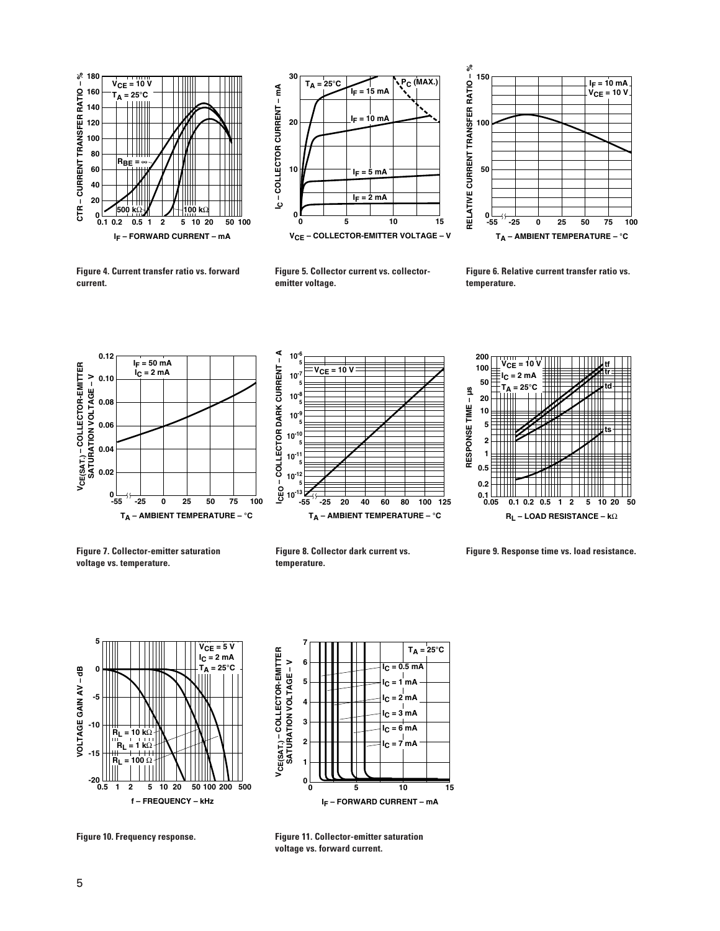



**Figure 5. Collector current vs. collectoremitter voltage.**



**Figure 4. Current transfer ratio vs. forward current.**









**Figure 7. Collector-emitter saturation voltage vs. temperature.**



**Figure 9. Response time vs. load resistance.**





**Figure 11. Collector-emitter saturation voltage vs. forward current.**